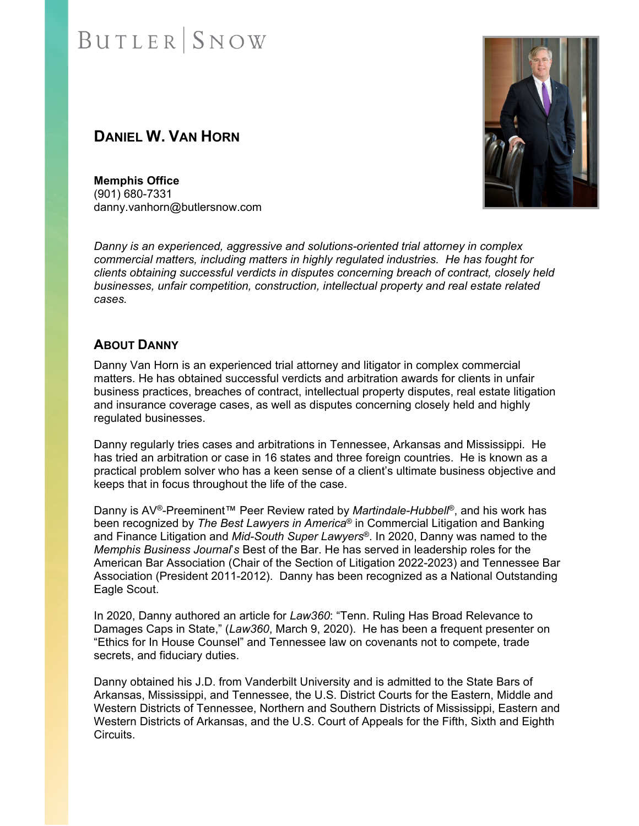### **DANIEL W. VAN HORN**



**Memphis Office**  (901) 680-7331 danny.vanhorn@butlersnow.com

*Danny is an experienced, aggressive and solutions-oriented trial attorney in complex commercial matters, including matters in highly regulated industries. He has fought for clients obtaining successful verdicts in disputes concerning breach of contract, closely held businesses, unfair competition, construction, intellectual property and real estate related cases.* 

### **ABOUT DANNY**

Danny Van Horn is an experienced trial attorney and litigator in complex commercial matters. He has obtained successful verdicts and arbitration awards for clients in unfair business practices, breaches of contract, intellectual property disputes, real estate litigation and insurance coverage cases, as well as disputes concerning closely held and highly regulated businesses.

Danny regularly tries cases and arbitrations in Tennessee, Arkansas and Mississippi. He has tried an arbitration or case in 16 states and three foreign countries. He is known as a practical problem solver who has a keen sense of a client's ultimate business objective and keeps that in focus throughout the life of the case.

Danny is AV®-Preeminent™ Peer Review rated by *Martindale-Hubbell*®, and his work has been recognized by *The Best Lawyers in America*® in Commercial Litigation and Banking and Finance Litigation and *Mid-South Super Lawyers*®. In 2020, Danny was named to the *Memphis Business Journal*'*s* Best of the Bar. He has served in leadership roles for the American Bar Association (Chair of the Section of Litigation 2022-2023) and Tennessee Bar Association (President 2011-2012). Danny has been recognized as a National Outstanding Eagle Scout.

In 2020, Danny authored an article for *Law360*: "Tenn. Ruling Has Broad Relevance to Damages Caps in State," (*Law360*, March 9, 2020). He has been a frequent presenter on "Ethics for In House Counsel" and Tennessee law on covenants not to compete, trade secrets, and fiduciary duties.

Danny obtained his J.D. from Vanderbilt University and is admitted to the State Bars of Arkansas, Mississippi, and Tennessee, the U.S. District Courts for the Eastern, Middle and Western Districts of Tennessee, Northern and Southern Districts of Mississippi, Eastern and Western Districts of Arkansas, and the U.S. Court of Appeals for the Fifth, Sixth and Eighth Circuits.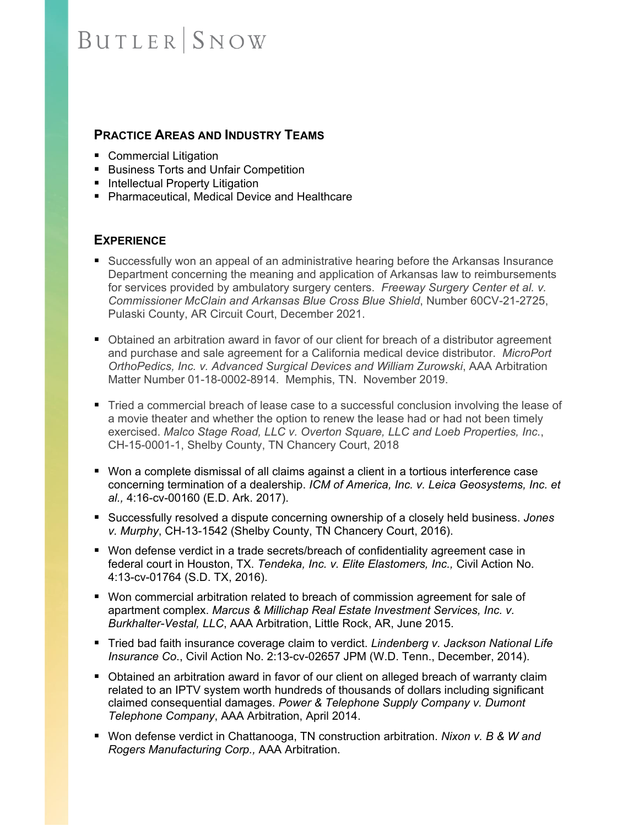#### **PRACTICE AREAS AND INDUSTRY TEAMS**

- Commercial Litigation
- **Business Torts and Unfair Competition**
- Intellectual Property Litigation
- Pharmaceutical, Medical Device and Healthcare

### **EXPERIENCE**

- **Successfully won an appeal of an administrative hearing before the Arkansas Insurance** Department concerning the meaning and application of Arkansas law to reimbursements for services provided by ambulatory surgery centers. *Freeway Surgery Center et al. v. Commissioner McClain and Arkansas Blue Cross Blue Shield*, Number 60CV-21-2725, Pulaski County, AR Circuit Court, December 2021.
- Obtained an arbitration award in favor of our client for breach of a distributor agreement and purchase and sale agreement for a California medical device distributor. *MicroPort OrthoPedics, Inc. v. Advanced Surgical Devices and William Zurowski*, AAA Arbitration Matter Number 01-18-0002-8914. Memphis, TN. November 2019.
- Tried a commercial breach of lease case to a successful conclusion involving the lease of a movie theater and whether the option to renew the lease had or had not been timely exercised. *Malco Stage Road, LLC v. Overton Square, LLC and Loeb Properties, Inc.*, CH-15-0001-1, Shelby County, TN Chancery Court, 2018
- Won a complete dismissal of all claims against a client in a tortious interference case concerning termination of a dealership. *ICM of America, Inc. v. Leica Geosystems, Inc. et al.,* 4:16-cv-00160 (E.D. Ark. 2017).
- Successfully resolved a dispute concerning ownership of a closely held business. *Jones v. Murphy*, CH-13-1542 (Shelby County, TN Chancery Court, 2016).
- Won defense verdict in a trade secrets/breach of confidentiality agreement case in federal court in Houston, TX. *Tendeka, Inc. v. Elite Elastomers, Inc.,* Civil Action No. 4:13-cv-01764 (S.D. TX, 2016).
- Won commercial arbitration related to breach of commission agreement for sale of apartment complex. *Marcus & Millichap Real Estate Investment Services, Inc. v. Burkhalter-Vestal, LLC*, AAA Arbitration, Little Rock, AR, June 2015.
- Tried bad faith insurance coverage claim to verdict. *Lindenberg v. Jackson National Life Insurance Co*., Civil Action No. 2:13-cv-02657 JPM (W.D. Tenn., December, 2014).
- Obtained an arbitration award in favor of our client on alleged breach of warranty claim related to an IPTV system worth hundreds of thousands of dollars including significant claimed consequential damages. *Power & Telephone Supply Company v. Dumont Telephone Company*, AAA Arbitration, April 2014.
- Won defense verdict in Chattanooga, TN construction arbitration. *Nixon v. B & W and Rogers Manufacturing Corp.,* AAA Arbitration.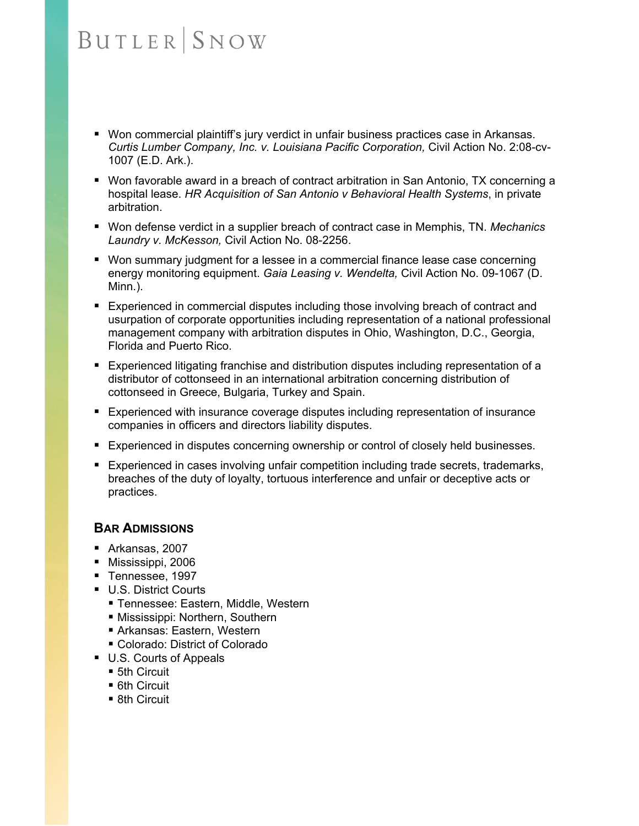- Won commercial plaintiff's jury verdict in unfair business practices case in Arkansas. *Curtis Lumber Company, Inc. v. Louisiana Pacific Corporation,* Civil Action No. 2:08-cv-1007 (E.D. Ark.).
- Won favorable award in a breach of contract arbitration in San Antonio, TX concerning a hospital lease. *HR Acquisition of San Antonio v Behavioral Health Systems*, in private arbitration.
- Won defense verdict in a supplier breach of contract case in Memphis, TN. *Mechanics Laundry v. McKesson,* Civil Action No. 08-2256.
- Won summary judgment for a lessee in a commercial finance lease case concerning energy monitoring equipment. *Gaia Leasing v. Wendelta,* Civil Action No. 09-1067 (D. Minn.).
- Experienced in commercial disputes including those involving breach of contract and usurpation of corporate opportunities including representation of a national professional management company with arbitration disputes in Ohio, Washington, D.C., Georgia, Florida and Puerto Rico.
- Experienced litigating franchise and distribution disputes including representation of a distributor of cottonseed in an international arbitration concerning distribution of cottonseed in Greece, Bulgaria, Turkey and Spain.
- Experienced with insurance coverage disputes including representation of insurance companies in officers and directors liability disputes.
- Experienced in disputes concerning ownership or control of closely held businesses.
- **Experienced in cases involving unfair competition including trade secrets, trademarks,** breaches of the duty of loyalty, tortuous interference and unfair or deceptive acts or practices.

#### **BAR ADMISSIONS**

- Arkansas, 2007
- **Mississippi, 2006**
- Tennessee, 1997
- U.S. District Courts
	- Tennessee: Eastern, Middle, Western
	- Mississippi: Northern, Southern
	- Arkansas: Eastern, Western
	- Colorado: District of Colorado
- U.S. Courts of Appeals
	- 5th Circuit
	- 6th Circuit
	- 8th Circuit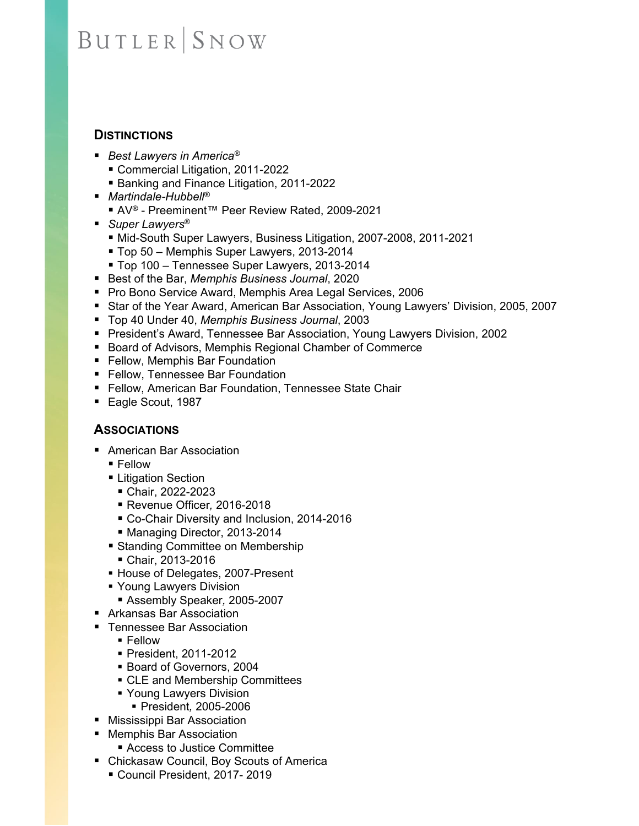#### **DISTINCTIONS**

- *Best Lawyers in America®* 
	- Commercial Litigation, 2011-2022
	- **Banking and Finance Litigation, 2011-2022**
- *Martindale-Hubbell<sup>®</sup>* 
	- AV<sup>®</sup> Preeminent™ Peer Review Rated, 2009-2021
- *Super Lawyers<sup>®</sup>* 
	- Mid-South Super Lawyers, Business Litigation, 2007-2008, 2011-2021
	- Top 50 Memphis Super Lawyers, 2013-2014
	- Top 100 Tennessee Super Lawyers, 2013-2014
- Best of the Bar, Memphis Business Journal, 2020
- Pro Bono Service Award, Memphis Area Legal Services, 2006
- Star of the Year Award, American Bar Association, Young Lawyers' Division, 2005, 2007
- Top 40 Under 40, *Memphis Business Journal*, 2003
- **President's Award, Tennessee Bar Association, Young Lawyers Division, 2002**
- Board of Advisors, Memphis Regional Chamber of Commerce
- **Fellow, Memphis Bar Foundation**
- Fellow, Tennessee Bar Foundation
- Fellow, American Bar Foundation, Tennessee State Chair
- Eagle Scout, 1987

### **ASSOCIATIONS**

- American Bar Association
	- Fellow
	- **Example 1** Litigation Section
		- Chair, 2022-2023
		- Revenue Officer*,* 2016-2018
		- Co-Chair Diversity and Inclusion, 2014-2016
		- Managing Director, 2013-2014
	- **Standing Committee on Membership** 
		- Chair, 2013-2016
	- **House of Delegates, 2007-Present**
	- Young Lawyers Division
		- Assembly Speaker*,* 2005-2007
- Arkansas Bar Association
- Tennessee Bar Association
	- Fellow
	- President, 2011-2012
	- Board of Governors, 2004
	- CLE and Membership Committees
	- Young Lawyers Division
	- President*,* 2005-2006
- Mississippi Bar Association
- Memphis Bar Association
	- Access to Justice Committee
- Chickasaw Council, Boy Scouts of America
	- Council President, 2017- 2019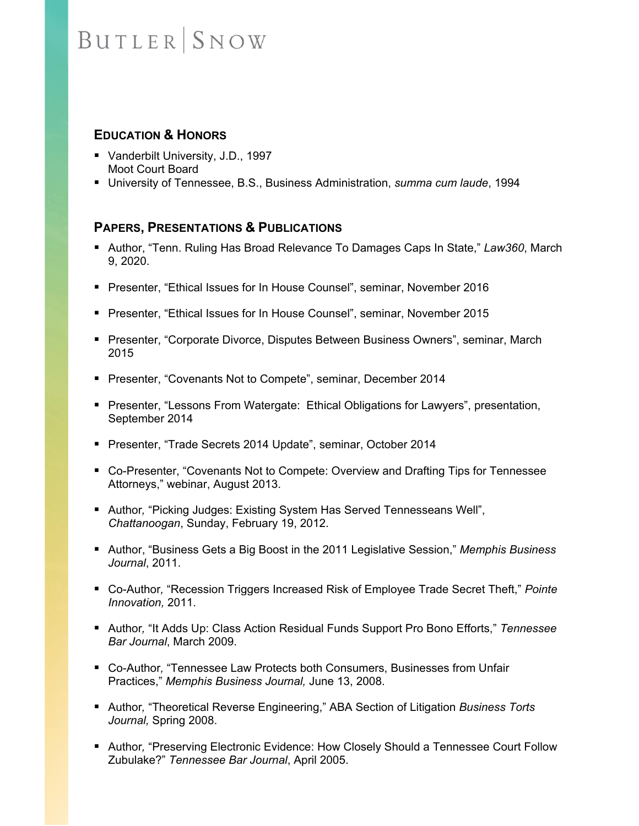#### **EDUCATION & HONORS**

- Vanderbilt University, J.D., 1997 Moot Court Board
- University of Tennessee, B.S., Business Administration, *summa cum laude*, 1994

### **PAPERS, PRESENTATIONS & PUBLICATIONS**

- Author, "Tenn. Ruling Has Broad Relevance To Damages Caps In State," *Law360*, March 9, 2020.
- Presenter, "Ethical Issues for In House Counsel", seminar, November 2016
- Presenter, "Ethical Issues for In House Counsel", seminar, November 2015
- Presenter, "Corporate Divorce, Disputes Between Business Owners", seminar, March 2015
- Presenter, "Covenants Not to Compete", seminar, December 2014
- **Presenter, "Lessons From Watergate: Ethical Obligations for Lawyers", presentation,** September 2014
- Presenter, "Trade Secrets 2014 Update", seminar, October 2014
- Co-Presenter, "Covenants Not to Compete: Overview and Drafting Tips for Tennessee Attorneys," webinar, August 2013.
- Author*,* "Picking Judges: Existing System Has Served Tennesseans Well", *Chattanoogan*, Sunday, February 19, 2012.
- Author, "Business Gets a Big Boost in the 2011 Legislative Session," *Memphis Business Journal*, 2011.
- Co-Author, "Recession Triggers Increased Risk of Employee Trade Secret Theft," Pointe *Innovation,* 2011.
- Author, "It Adds Up: Class Action Residual Funds Support Pro Bono Efforts," *Tennessee Bar Journal*, March 2009.
- Co-Author*,* "Tennessee Law Protects both Consumers, Businesses from Unfair Practices," *Memphis Business Journal,* June 13, 2008.
- Author*,* "Theoretical Reverse Engineering," ABA Section of Litigation *Business Torts Journal,* Spring 2008.
- **Author, "Preserving Electronic Evidence: How Closely Should a Tennessee Court Follow** Zubulake?" *Tennessee Bar Journal*, April 2005.